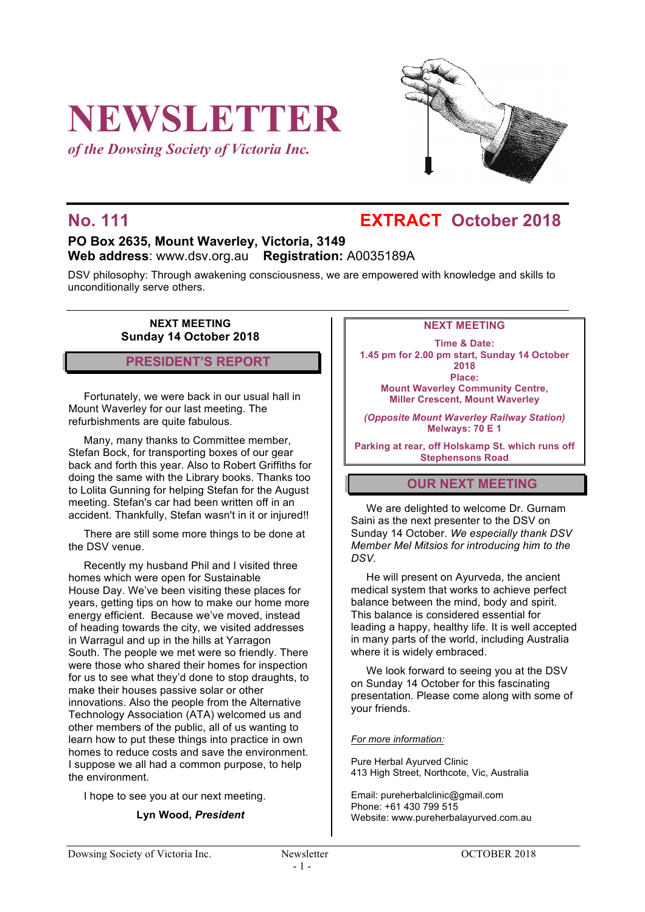# **NEWSLETTER**

*of the Dowsing Society of Victoria Inc.*



# **No. 111 EXTRACT October 2018**

# **PO Box 2635, Mount Waverley, Victoria, 3149 Web address**: www.dsv.org.au **Registration:** A0035189A

DSV philosophy: Through awakening consciousness, we are empowered with knowledge and skills to unconditionally serve others.

> **NEXT MEETING Sunday 14 October 2018**

**PRESIDENT'S REPORT**

Fortunately, we were back in our usual hall in Mount Waverley for our last meeting. The refurbishments are quite fabulous.

Many, many thanks to Committee member, Stefan Bock, for transporting boxes of our gear back and forth this year. Also to Robert Griffiths for doing the same with the Library books. Thanks too to Lolita Gunning for helping Stefan for the August meeting. Stefan's car had been written off in an accident. Thankfully, Stefan wasn't in it or injured!!

There are still some more things to be done at the DSV venue.

Recently my husband Phil and I visited three homes which were open for Sustainable House Day. We've been visiting these places for years, getting tips on how to make our home more energy efficient. Because we've moved, instead of heading towards the city, we visited addresses in Warragul and up in the hills at Yarragon South. The people we met were so friendly. There were those who shared their homes for inspection for us to see what they'd done to stop draughts, to make their houses passive solar or other innovations. Also the people from the Alternative Technology Association (ATA) welcomed us and other members of the public, all of us wanting to learn how to put these things into practice in own homes to reduce costs and save the environment. I suppose we all had a common purpose, to help the environment.

I hope to see you at our next meeting.

#### **Lyn Wood,** *President*

#### **NEXT MEETING**

**Time & Date: 1.45 pm for 2.00 pm start, Sunday 14 October 2018 Place: Mount Waverley Community Centre, Miller Crescent, Mount Waverley**

*(Opposite Mount Waverley Railway Station)* **Melways: 70 E 1**

**Parking at rear, off Holskamp St. which runs off Stephensons Road**

# **OUR NEXT MEETING**

We are delighted to welcome Dr. Gurnam Saini as the next presenter to the DSV on Sunday 14 October. *We especially thank DSV Member Mel Mitsios for introducing him to the DSV.*

He will present on Ayurveda, the ancient medical system that works to achieve perfect balance between the mind, body and spirit. This balance is considered essential for leading a happy, healthy life. It is well accepted in many parts of the world, including Australia where it is widely embraced.

We look forward to seeing you at the DSV on Sunday 14 October for this fascinating presentation. Please come along with some of your friends.

#### *For more information:*

Pure Herbal Ayurved Clinic 413 High Street, Northcote, Vic, Australia

Email: pureherbalclinic@gmail.com Phone: +61 430 799 515 Website: www.pureherbalayurved.com.au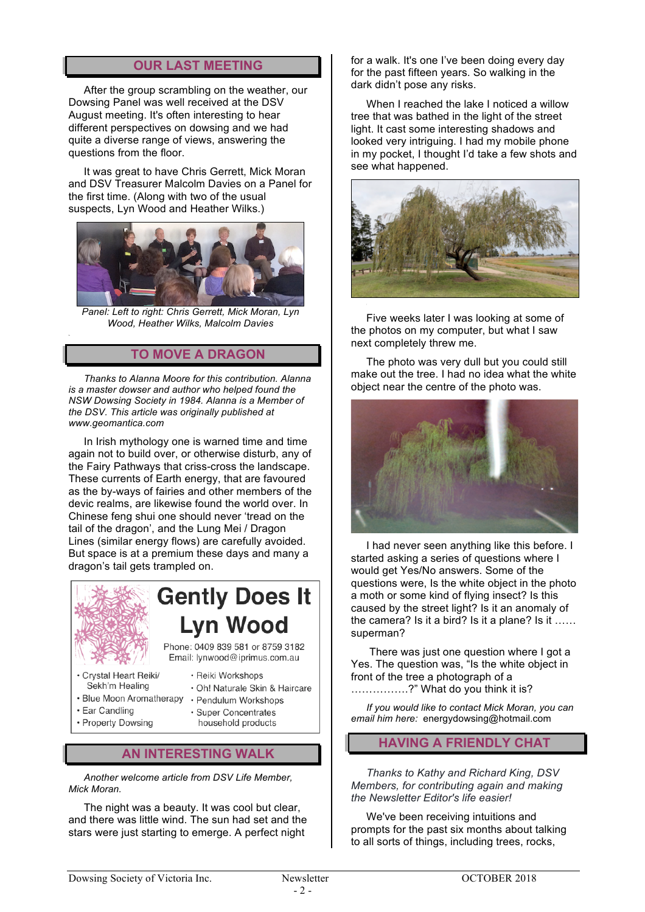# **OUR LAST MEETING**

After the group scrambling on the weather, our Dowsing Panel was well received at the DSV August meeting. It's often interesting to hear different perspectives on dowsing and we had quite a diverse range of views, answering the questions from the floor.

It was great to have Chris Gerrett, Mick Moran and DSV Treasurer Malcolm Davies on a Panel for the first time. (Along with two of the usual suspects, Lyn Wood and Heather Wilks.)



*Panel: Left to right: Chris Gerrett, Mick Moran, Lyn Wood, Heather Wilks, Malcolm Davies*

# **TO MOVE A DRAGON**

*Thanks to Alanna Moore for this contribution. Alanna is a master dowser and author who helped found the NSW Dowsing Society in 1984. Alanna is a Member of the DSV. This article was originally published at www.geomantica.com*

In Irish mythology one is warned time and time again not to build over, or otherwise disturb, any of the Fairy Pathways that criss-cross the landscape. These currents of Earth energy, that are favoured as the by-ways of fairies and other members of the devic realms, are likewise found the world over. In Chinese feng shui one should never 'tread on the tail of the dragon', and the Lung Mei / Dragon Lines (similar energy flows) are carefully avoided. But space is at a premium these days and many a dragon's tail gets trampled on.



- · Ear Candling
- Property Dowsing
- **Super Concentrates** household products
- **AN INTERESTING WALK**

*Another welcome article from DSV Life Member, Mick Moran.*

The night was a beauty. It was cool but clear, and there was little wind. The sun had set and the stars were just starting to emerge. A perfect night

for a walk. It's one I've been doing every day for the past fifteen years. So walking in the dark didn't pose any risks.

When I reached the lake I noticed a willow tree that was bathed in the light of the street light. It cast some interesting shadows and looked very intriguing. I had my mobile phone in my pocket, I thought I'd take a few shots and see what happened.



Five weeks later I was looking at some of the photos on my computer, but what I saw next completely threw me.

The photo was very dull but you could still make out the tree. I had no idea what the white object near the centre of the photo was.



I had never seen anything like this before. I started asking a series of questions where I would get Yes/No answers. Some of the questions were, Is the white object in the photo a moth or some kind of flying insect? Is this caused by the street light? Is it an anomaly of the camera? Is it a bird? Is it a plane? Is it …… superman?

There was just one question where I got a Yes. The question was, "Is the white object in front of the tree a photograph of a …………….?" What do you think it is?

*If you would like to contact Mick Moran, you can email him here:* energydowsing@hotmail.com

# **HAVING A FRIENDLY CHAT**

*Thanks to Kathy and Richard King, DSV Members, for contributing again and making the Newsletter Editor's life easier!*

We've been receiving intuitions and prompts for the past six months about talking to all sorts of things, including trees, rocks,